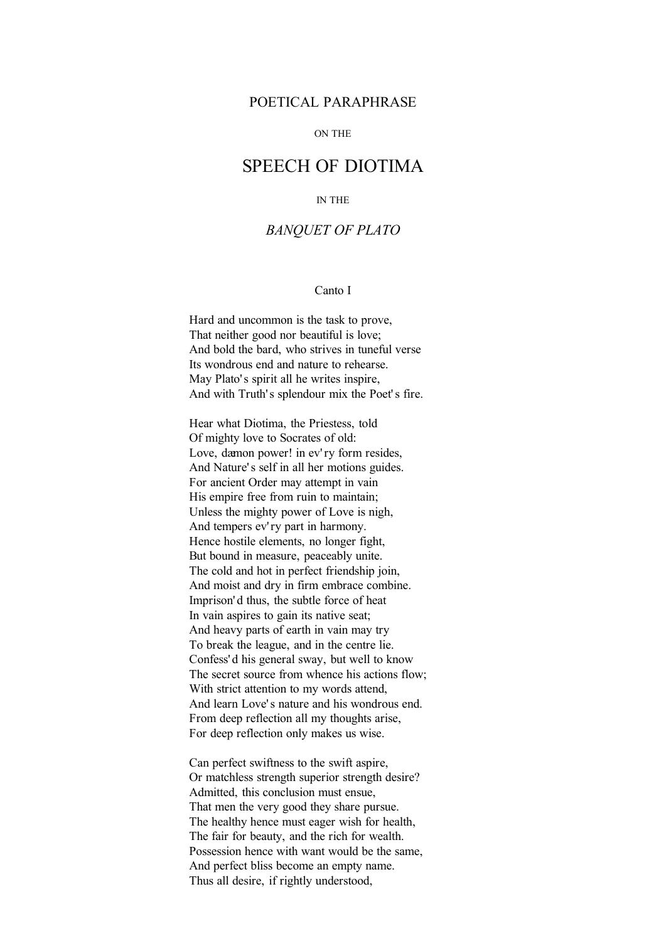## POETICAL PARAPHRASE

#### ON THE

# SPEECH OF DIOTIMA

#### IN THE

# *BANQUET OF PLATO*

### Canto I

Hard and uncommon is the task to prove, That neither good nor beautiful is love; And bold the bard, who strives in tuneful verse Its wondrous end and nature to rehearse. May Plato's spirit all he writes inspire, And with Truth's splendour mix the Poet's fire.

Hear what Diotima, the Priestess, told Of mighty love to Socrates of old: Love, dæmon power! in ev'ry form resides, And Nature' s self in all her motions guides. For ancient Order may attempt in vain His empire free from ruin to maintain; Unless the mighty power of Love is nigh, And tempers ev' ry part in harmony. Hence hostile elements, no longer fight, But bound in measure, peaceably unite. The cold and hot in perfect friendship join, And moist and dry in firm embrace combine. Imprison' d thus, the subtle force of heat In vain aspires to gain its native seat; And heavy parts of earth in vain may try To break the league, and in the centre lie. Confess' d his general sway, but well to know The secret source from whence his actions flow; With strict attention to my words attend, And learn Love' s nature and his wondrous end. From deep reflection all my thoughts arise, For deep reflection only makes us wise.

Can perfect swiftness to the swift aspire, Or matchless strength superior strength desire? Admitted, this conclusion must ensue, That men the very good they share pursue. The healthy hence must eager wish for health, The fair for beauty, and the rich for wealth. Possession hence with want would be the same, And perfect bliss become an empty name. Thus all desire, if rightly understood,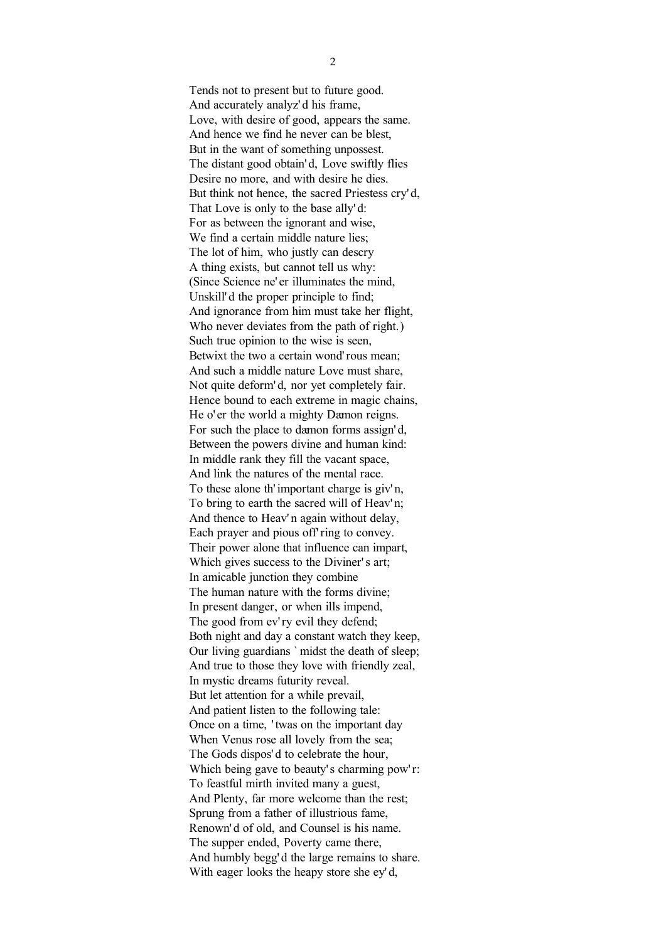Tends not to present but to future good. And accurately analyz' d his frame, Love, with desire of good, appears the same. And hence we find he never can be blest, But in the want of something unpossest. The distant good obtain' d, Love swiftly flies Desire no more, and with desire he dies. But think not hence, the sacred Priestess cry' d, That Love is only to the base ally' d: For as between the ignorant and wise, We find a certain middle nature lies; The lot of him, who justly can descry A thing exists, but cannot tell us why: (Since Science ne' er illuminates the mind, Unskill' d the proper principle to find; And ignorance from him must take her flight, Who never deviates from the path of right.) Such true opinion to the wise is seen, Betwixt the two a certain wond' rous mean: And such a middle nature Love must share, Not quite deform' d, nor yet completely fair. Hence bound to each extreme in magic chains, He o' er the world a mighty Dæmon reigns. For such the place to dæmon forms assign' d, Between the powers divine and human kind: In middle rank they fill the vacant space, And link the natures of the mental race. To these alone th' important charge is giv' n, To bring to earth the sacred will of Heav'n; And thence to Heav'n again without delay, Each prayer and pious off' ring to convey. Their power alone that influence can impart, Which gives success to the Diviner's art; In amicable junction they combine The human nature with the forms divine; In present danger, or when ills impend, The good from ev'ry evil they defend; Both night and day a constant watch they keep, Our living guardians ` midst the death of sleep; And true to those they love with friendly zeal, In mystic dreams futurity reveal. But let attention for a while prevail, And patient listen to the following tale: Once on a time, ' twas on the important day When Venus rose all lovely from the sea; The Gods dispos' d to celebrate the hour, Which being gave to beauty's charming pow'r: To feastful mirth invited many a guest, And Plenty, far more welcome than the rest; Sprung from a father of illustrious fame, Renown' d of old, and Counsel is his name. The supper ended, Poverty came there, And humbly begg' d the large remains to share. With eager looks the heapy store she ey'd,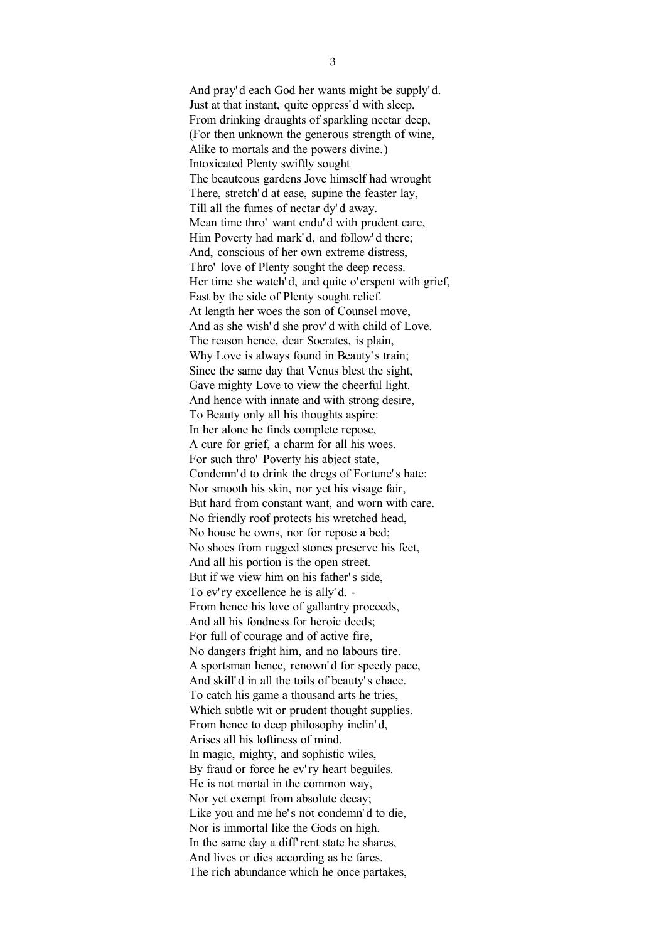And pray' d each God her wants might be supply' d. Just at that instant, quite oppress' d with sleep, From drinking draughts of sparkling nectar deep, (For then unknown the generous strength of wine, Alike to mortals and the powers divine.) Intoxicated Plenty swiftly sought The beauteous gardens Jove himself had wrought There, stretch' d at ease, supine the feaster lay, Till all the fumes of nectar dy' d away. Mean time thro' want endu' d with prudent care, Him Poverty had mark' d, and follow' d there; And, conscious of her own extreme distress, Thro' love of Plenty sought the deep recess. Her time she watch'd, and quite o' erspent with grief, Fast by the side of Plenty sought relief. At length her woes the son of Counsel move, And as she wish' d she prov' d with child of Love. The reason hence, dear Socrates, is plain, Why Love is always found in Beauty's train; Since the same day that Venus blest the sight, Gave mighty Love to view the cheerful light. And hence with innate and with strong desire, To Beauty only all his thoughts aspire: In her alone he finds complete repose, A cure for grief, a charm for all his woes. For such thro' Poverty his abject state, Condemn' d to drink the dregs of Fortune' s hate: Nor smooth his skin, nor yet his visage fair, But hard from constant want, and worn with care. No friendly roof protects his wretched head, No house he owns, nor for repose a bed; No shoes from rugged stones preserve his feet, And all his portion is the open street. But if we view him on his father's side. To ev' ry excellence he is ally'd. -From hence his love of gallantry proceeds, And all his fondness for heroic deeds; For full of courage and of active fire, No dangers fright him, and no labours tire. A sportsman hence, renown' d for speedy pace, And skill' d in all the toils of beauty' s chace. To catch his game a thousand arts he tries, Which subtle wit or prudent thought supplies. From hence to deep philosophy inclin' d, Arises all his loftiness of mind. In magic, mighty, and sophistic wiles, By fraud or force he ev'ry heart beguiles. He is not mortal in the common way, Nor yet exempt from absolute decay; Like you and me he's not condemn'd to die, Nor is immortal like the Gods on high. In the same day a diff' rent state he shares, And lives or dies according as he fares. The rich abundance which he once partakes,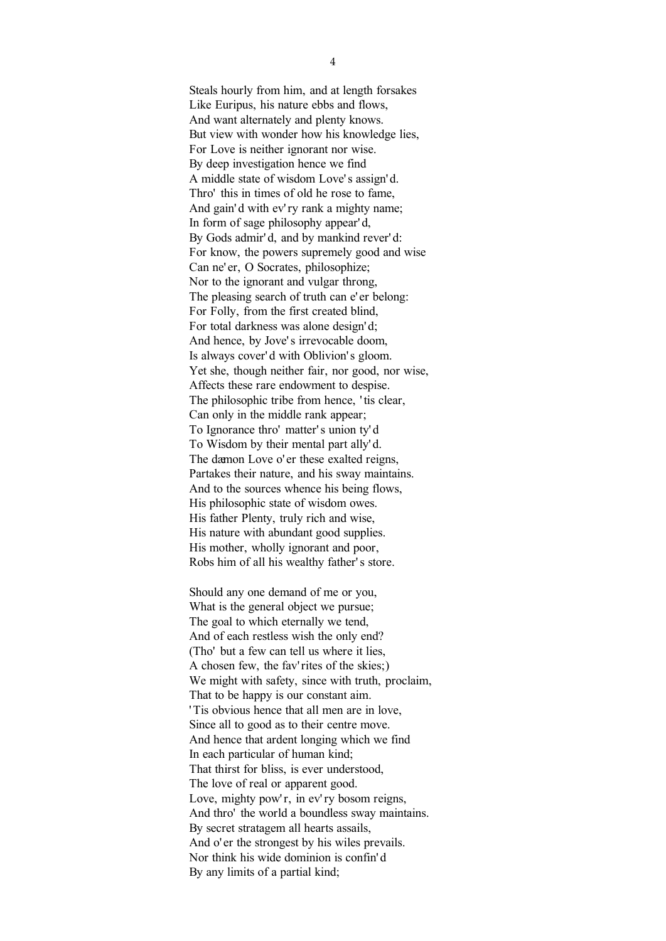Steals hourly from him, and at length forsakes Like Euripus, his nature ebbs and flows, And want alternately and plenty knows. But view with wonder how his knowledge lies, For Love is neither ignorant nor wise. By deep investigation hence we find A middle state of wisdom Love' s assign' d. Thro' this in times of old he rose to fame, And gain' d with ev' ry rank a mighty name; In form of sage philosophy appear' d, By Gods admir'd, and by mankind rever'd: For know, the powers supremely good and wise Can ne' er, O Socrates, philosophize; Nor to the ignorant and vulgar throng, The pleasing search of truth can e' er belong: For Folly, from the first created blind, For total darkness was alone design' d; And hence, by Jove' s irrevocable doom, Is always cover' d with Oblivion' s gloom. Yet she, though neither fair, nor good, nor wise, Affects these rare endowment to despise. The philosophic tribe from hence, 'tis clear, Can only in the middle rank appear; To Ignorance thro' matter' s union ty' d To Wisdom by their mental part ally' d. The dæmon Love o' er these exalted reigns, Partakes their nature, and his sway maintains. And to the sources whence his being flows, His philosophic state of wisdom owes. His father Plenty, truly rich and wise, His nature with abundant good supplies. His mother, wholly ignorant and poor, Robs him of all his wealthy father' s store.

Should any one demand of me or you, What is the general object we pursue; The goal to which eternally we tend, And of each restless wish the only end? (Tho' but a few can tell us where it lies, A chosen few, the fav' rites of the skies;) We might with safety, since with truth, proclaim, That to be happy is our constant aim. ' Tis obvious hence that all men are in love, Since all to good as to their centre move. And hence that ardent longing which we find In each particular of human kind; That thirst for bliss, is ever understood, The love of real or apparent good. Love, mighty pow'r, in ev'ry bosom reigns, And thro' the world a boundless sway maintains. By secret stratagem all hearts assails, And o' er the strongest by his wiles prevails. Nor think his wide dominion is confin' d By any limits of a partial kind;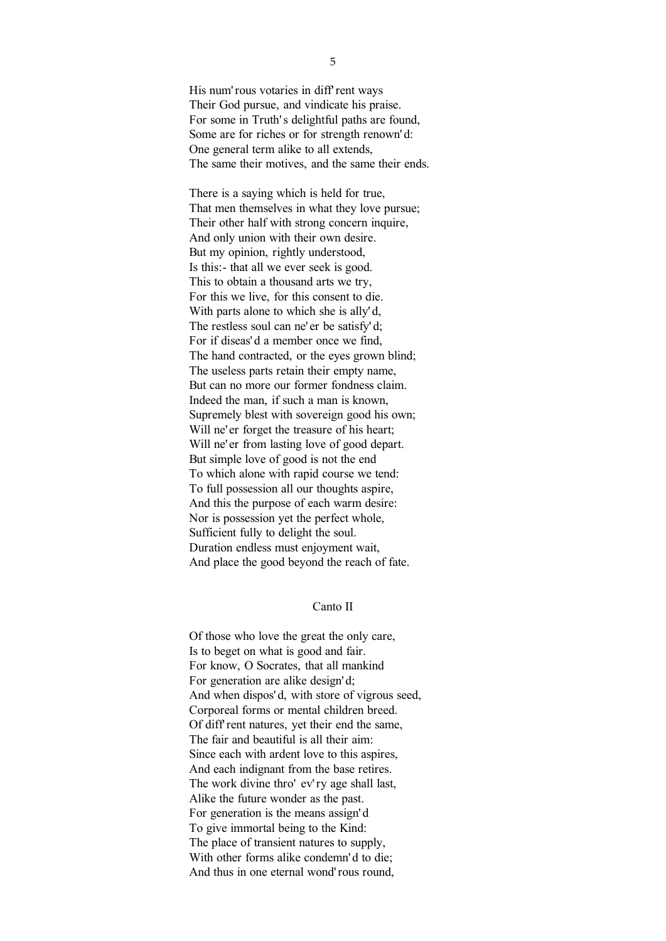His num' rous votaries in diff' rent ways Their God pursue, and vindicate his praise. For some in Truth's delightful paths are found. Some are for riches or for strength renown' d: One general term alike to all extends, The same their motives, and the same their ends.

There is a saying which is held for true, That men themselves in what they love pursue; Their other half with strong concern inquire, And only union with their own desire. But my opinion, rightly understood, Is this:- that all we ever seek is good. This to obtain a thousand arts we try, For this we live, for this consent to die. With parts alone to which she is ally'd, The restless soul can ne' er be satisfy' d: For if diseas' d a member once we find, The hand contracted, or the eyes grown blind; The useless parts retain their empty name, But can no more our former fondness claim. Indeed the man, if such a man is known, Supremely blest with sovereign good his own; Will ne' er forget the treasure of his heart; Will ne' er from lasting love of good depart. But simple love of good is not the end To which alone with rapid course we tend: To full possession all our thoughts aspire, And this the purpose of each warm desire: Nor is possession yet the perfect whole, Sufficient fully to delight the soul. Duration endless must enjoyment wait, And place the good beyond the reach of fate.

## Canto II

Of those who love the great the only care, Is to beget on what is good and fair. For know, O Socrates, that all mankind For generation are alike design' d; And when dispos' d, with store of vigrous seed, Corporeal forms or mental children breed. Of diff' rent natures, yet their end the same, The fair and beautiful is all their aim: Since each with ardent love to this aspires, And each indignant from the base retires. The work divine thro' ev' ry age shall last, Alike the future wonder as the past. For generation is the means assign' d To give immortal being to the Kind: The place of transient natures to supply, With other forms alike condemn'd to die; And thus in one eternal wond' rous round,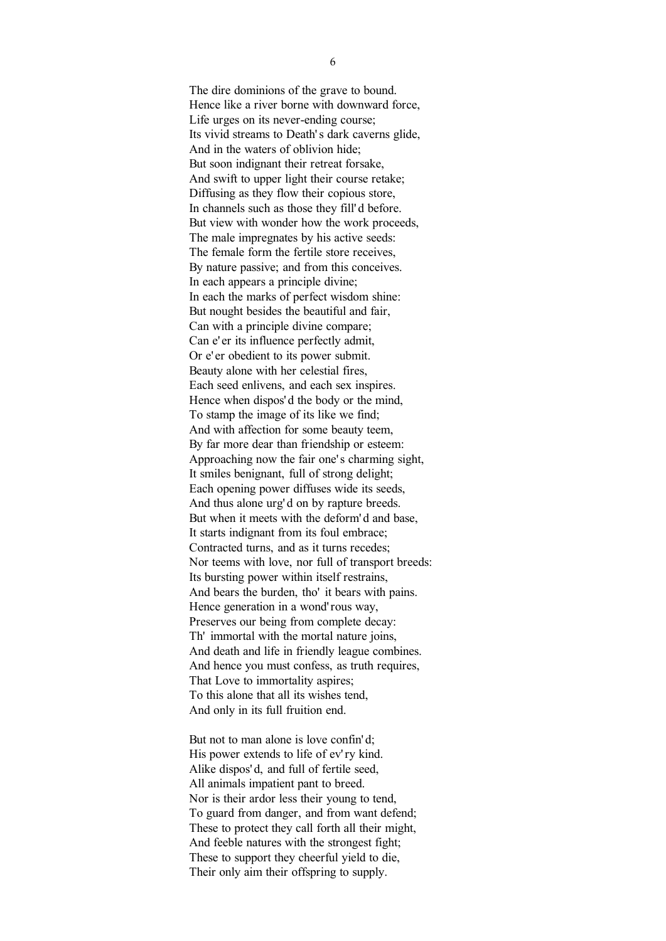The dire dominions of the grave to bound. Hence like a river borne with downward force, Life urges on its never-ending course; Its vivid streams to Death' s dark caverns glide, And in the waters of oblivion hide; But soon indignant their retreat forsake, And swift to upper light their course retake; Diffusing as they flow their copious store, In channels such as those they fill' d before. But view with wonder how the work proceeds, The male impregnates by his active seeds: The female form the fertile store receives, By nature passive; and from this conceives. In each appears a principle divine; In each the marks of perfect wisdom shine: But nought besides the beautiful and fair, Can with a principle divine compare; Can e' er its influence perfectly admit, Or e' er obedient to its power submit. Beauty alone with her celestial fires, Each seed enlivens, and each sex inspires. Hence when dispos' d the body or the mind, To stamp the image of its like we find; And with affection for some beauty teem, By far more dear than friendship or esteem: Approaching now the fair one' s charming sight, It smiles benignant, full of strong delight; Each opening power diffuses wide its seeds, And thus alone urg' d on by rapture breeds. But when it meets with the deform' d and base, It starts indignant from its foul embrace; Contracted turns, and as it turns recedes; Nor teems with love, nor full of transport breeds: Its bursting power within itself restrains, And bears the burden, tho' it bears with pains. Hence generation in a wond' rous way, Preserves our being from complete decay: Th' immortal with the mortal nature joins, And death and life in friendly league combines. And hence you must confess, as truth requires, That Love to immortality aspires; To this alone that all its wishes tend, And only in its full fruition end.

But not to man alone is love confin'd; His power extends to life of ev' ry kind. Alike dispos' d, and full of fertile seed, All animals impatient pant to breed. Nor is their ardor less their young to tend, To guard from danger, and from want defend; These to protect they call forth all their might, And feeble natures with the strongest fight; These to support they cheerful yield to die, Their only aim their offspring to supply.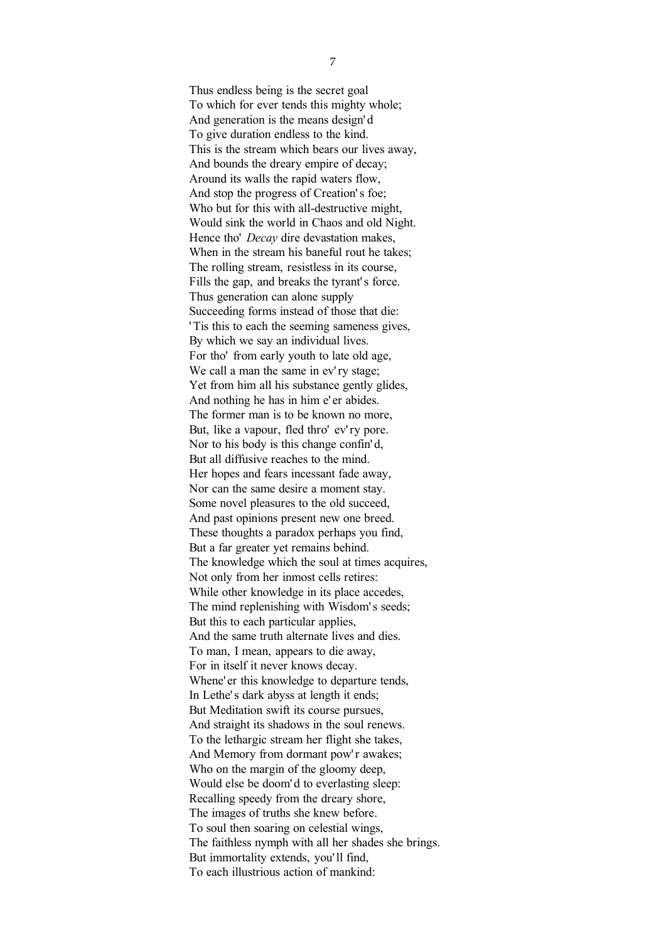Thus endless being is the secret goal To which for ever tends this mighty whole; And generation is the means design' d To give duration endless to the kind. This is the stream which bears our lives away, And bounds the dreary empire of decay; Around its walls the rapid waters flow, And stop the progress of Creation's foe; Who but for this with all-destructive might, Would sink the world in Chaos and old Night. Hence tho' *Decay* dire devastation makes, When in the stream his baneful rout he takes; The rolling stream, resistless in its course, Fills the gap, and breaks the tyrant's force. Thus generation can alone supply Succeeding forms instead of those that die: ' Tis this to each the seeming sameness gives, By which we say an individual lives. For tho' from early youth to late old age, We call a man the same in ev'ry stage; Yet from him all his substance gently glides, And nothing he has in him e' er abides. The former man is to be known no more, But, like a vapour, fled thro' ev'ry pore. Nor to his body is this change confin' d, But all diffusive reaches to the mind. Her hopes and fears incessant fade away, Nor can the same desire a moment stay. Some novel pleasures to the old succeed, And past opinions present new one breed. These thoughts a paradox perhaps you find, But a far greater yet remains behind. The knowledge which the soul at times acquires, Not only from her inmost cells retires: While other knowledge in its place accedes, The mind replenishing with Wisdom's seeds; But this to each particular applies, And the same truth alternate lives and dies. To man, I mean, appears to die away, For in itself it never knows decay. Whene' er this knowledge to departure tends, In Lethe' s dark abyss at length it ends; But Meditation swift its course pursues, And straight its shadows in the soul renews. To the lethargic stream her flight she takes, And Memory from dormant pow'r awakes; Who on the margin of the gloomy deep, Would else be doom'd to everlasting sleep: Recalling speedy from the dreary shore, The images of truths she knew before. To soul then soaring on celestial wings, The faithless nymph with all her shades she brings. But immortality extends, you' ll find, To each illustrious action of mankind: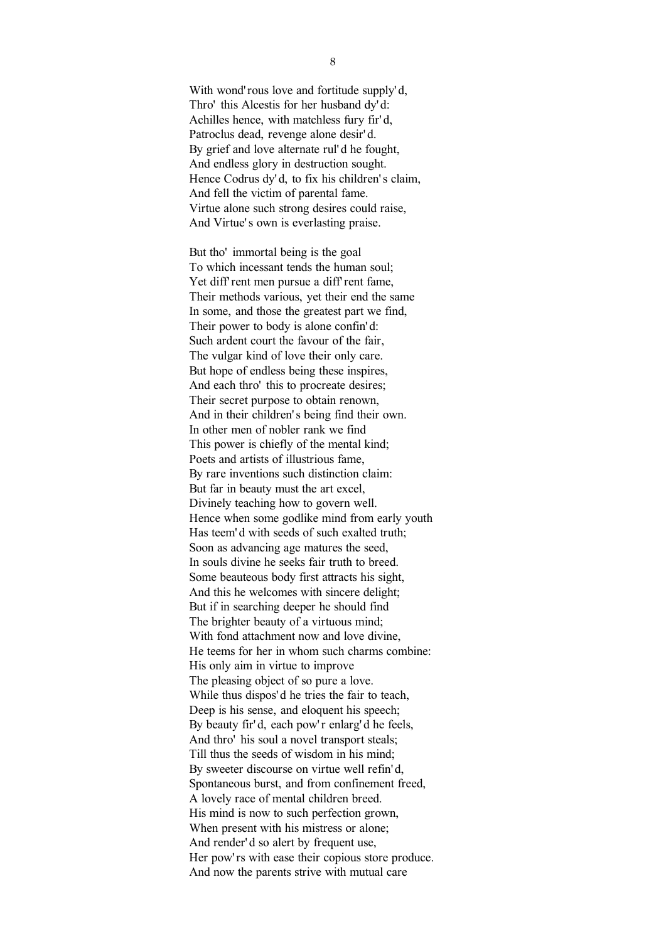With wond' rous love and fortitude supply' d, Thro' this Alcestis for her husband dy' d: Achilles hence, with matchless fury fir' d, Patroclus dead, revenge alone desir' d. By grief and love alternate rul' d he fought, And endless glory in destruction sought. Hence Codrus dy'd, to fix his children's claim. And fell the victim of parental fame. Virtue alone such strong desires could raise, And Virtue's own is everlasting praise.

But tho' immortal being is the goal To which incessant tends the human soul; Yet diff' rent men pursue a diff' rent fame, Their methods various, yet their end the same In some, and those the greatest part we find, Their power to body is alone confin' d: Such ardent court the favour of the fair, The vulgar kind of love their only care. But hope of endless being these inspires, And each thro' this to procreate desires; Their secret purpose to obtain renown, And in their children' s being find their own. In other men of nobler rank we find This power is chiefly of the mental kind; Poets and artists of illustrious fame, By rare inventions such distinction claim: But far in beauty must the art excel, Divinely teaching how to govern well. Hence when some godlike mind from early youth Has teem' d with seeds of such exalted truth; Soon as advancing age matures the seed, In souls divine he seeks fair truth to breed. Some beauteous body first attracts his sight, And this he welcomes with sincere delight; But if in searching deeper he should find The brighter beauty of a virtuous mind; With fond attachment now and love divine, He teems for her in whom such charms combine: His only aim in virtue to improve The pleasing object of so pure a love. While thus dispos' d he tries the fair to teach, Deep is his sense, and eloquent his speech; By beauty fir'd, each pow'r enlarg'd he feels, And thro' his soul a novel transport steals; Till thus the seeds of wisdom in his mind; By sweeter discourse on virtue well refin' d, Spontaneous burst, and from confinement freed, A lovely race of mental children breed. His mind is now to such perfection grown, When present with his mistress or alone; And render' d so alert by frequent use, Her pow'rs with ease their copious store produce. And now the parents strive with mutual care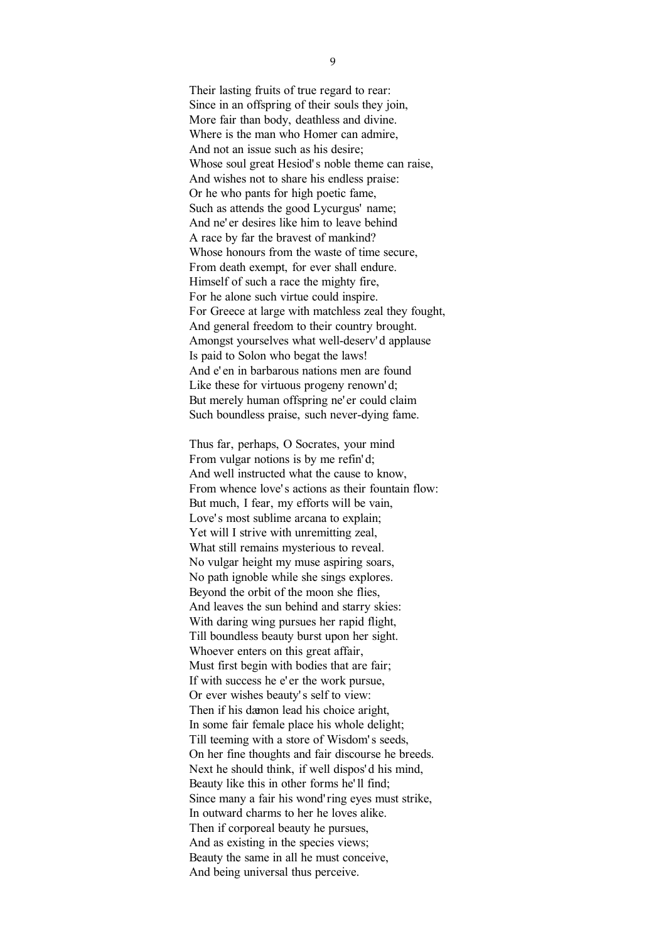Their lasting fruits of true regard to rear: Since in an offspring of their souls they join, More fair than body, deathless and divine. Where is the man who Homer can admire, And not an issue such as his desire; Whose soul great Hesiod's noble theme can raise. And wishes not to share his endless praise: Or he who pants for high poetic fame, Such as attends the good Lycurgus' name; And ne' er desires like him to leave behind A race by far the bravest of mankind? Whose honours from the waste of time secure, From death exempt, for ever shall endure. Himself of such a race the mighty fire, For he alone such virtue could inspire. For Greece at large with matchless zeal they fought, And general freedom to their country brought. Amongst yourselves what well-deserv' d applause Is paid to Solon who begat the laws! And e' en in barbarous nations men are found Like these for virtuous progeny renown'd; But merely human offspring ne' er could claim Such boundless praise, such never-dying fame.

Thus far, perhaps, O Socrates, your mind From vulgar notions is by me refin' d; And well instructed what the cause to know, From whence love' s actions as their fountain flow: But much, I fear, my efforts will be vain, Love's most sublime arcana to explain; Yet will I strive with unremitting zeal, What still remains mysterious to reveal. No vulgar height my muse aspiring soars, No path ignoble while she sings explores. Beyond the orbit of the moon she flies, And leaves the sun behind and starry skies: With daring wing pursues her rapid flight, Till boundless beauty burst upon her sight. Whoever enters on this great affair, Must first begin with bodies that are fair; If with success he e' er the work pursue, Or ever wishes beauty' s self to view: Then if his dæmon lead his choice aright, In some fair female place his whole delight; Till teeming with a store of Wisdom' s seeds, On her fine thoughts and fair discourse he breeds. Next he should think, if well dispos' d his mind, Beauty like this in other forms he' ll find; Since many a fair his wond' ring eyes must strike, In outward charms to her he loves alike. Then if corporeal beauty he pursues, And as existing in the species views; Beauty the same in all he must conceive, And being universal thus perceive.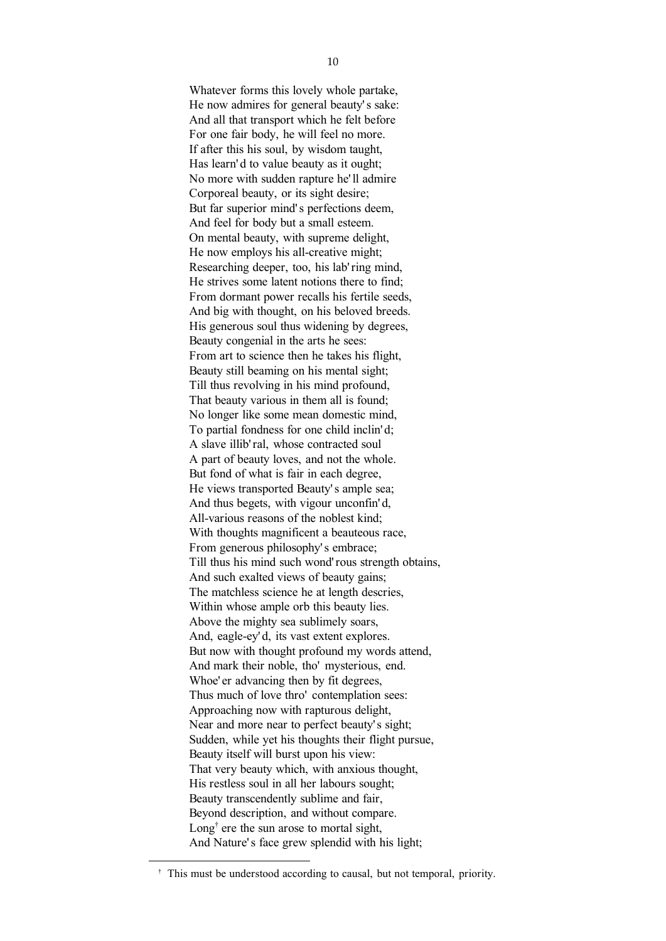Whatever forms this lovely whole partake, He now admires for general beauty' s sake: And all that transport which he felt before For one fair body, he will feel no more. If after this his soul, by wisdom taught, Has learn'd to value beauty as it ought; No more with sudden rapture he' ll admire Corporeal beauty, or its sight desire; But far superior mind' s perfections deem, And feel for body but a small esteem. On mental beauty, with supreme delight, He now employs his all-creative might; Researching deeper, too, his lab' ring mind, He strives some latent notions there to find; From dormant power recalls his fertile seeds, And big with thought, on his beloved breeds. His generous soul thus widening by degrees, Beauty congenial in the arts he sees: From art to science then he takes his flight, Beauty still beaming on his mental sight; Till thus revolving in his mind profound, That beauty various in them all is found; No longer like some mean domestic mind, To partial fondness for one child inclin' d; A slave illib' ral, whose contracted soul A part of beauty loves, and not the whole. But fond of what is fair in each degree, He views transported Beauty' s ample sea; And thus begets, with vigour unconfin' d, All-various reasons of the noblest kind; With thoughts magnificent a beauteous race, From generous philosophy's embrace: Till thus his mind such wond' rous strength obtains, And such exalted views of beauty gains; The matchless science he at length descries, Within whose ample orb this beauty lies. Above the mighty sea sublimely soars, And, eagle-ey' d, its vast extent explores. But now with thought profound my words attend, And mark their noble, tho' mysterious, end. Whoe' er advancing then by fit degrees, Thus much of love thro' contemplation sees: Approaching now with rapturous delight, Near and more near to perfect beauty's sight; Sudden, while yet his thoughts their flight pursue, Beauty itself will burst upon his view: That very beauty which, with anxious thought, His restless soul in all her labours sought; Beauty transcendently sublime and fair, Beyond description, and without compare. Long<sup>†</sup> ere the sun arose to mortal sight, And Nature's face grew splendid with his light;

-

† This must be understood according to causal, but not temporal, priority.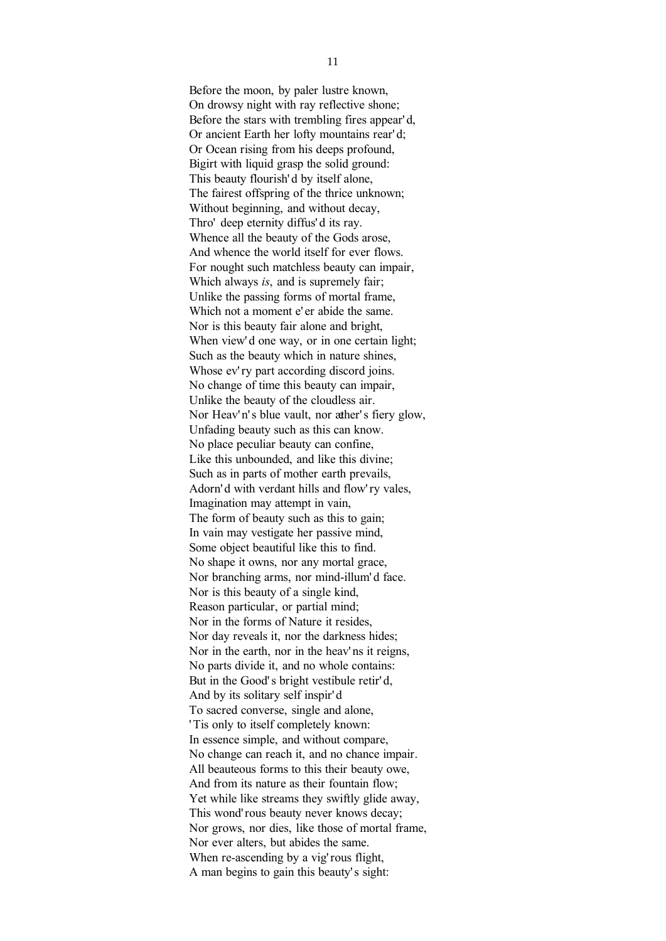Before the moon, by paler lustre known, On drowsy night with ray reflective shone; Before the stars with trembling fires appear' d, Or ancient Earth her lofty mountains rear' d; Or Ocean rising from his deeps profound, Bigirt with liquid grasp the solid ground: This beauty flourish' d by itself alone, The fairest offspring of the thrice unknown; Without beginning, and without decay, Thro' deep eternity diffus' d its ray. Whence all the beauty of the Gods arose, And whence the world itself for ever flows. For nought such matchless beauty can impair, Which always *is*, and is supremely fair; Unlike the passing forms of mortal frame, Which not a moment e' er abide the same. Nor is this beauty fair alone and bright, When view'd one way, or in one certain light; Such as the beauty which in nature shines, Whose ev'ry part according discord joins. No change of time this beauty can impair, Unlike the beauty of the cloudless air. Nor Heav'n's blue vault, nor ather's fiery glow, Unfading beauty such as this can know. No place peculiar beauty can confine, Like this unbounded, and like this divine; Such as in parts of mother earth prevails, Adorn' d with verdant hills and flow' ry vales, Imagination may attempt in vain, The form of beauty such as this to gain; In vain may vestigate her passive mind, Some object beautiful like this to find. No shape it owns, nor any mortal grace, Nor branching arms, nor mind-illum' d face. Nor is this beauty of a single kind, Reason particular, or partial mind; Nor in the forms of Nature it resides, Nor day reveals it, nor the darkness hides; Nor in the earth, nor in the heav' ns it reigns, No parts divide it, and no whole contains: But in the Good's bright vestibule retir'd, And by its solitary self inspir' d To sacred converse, single and alone, ' Tis only to itself completely known: In essence simple, and without compare, No change can reach it, and no chance impair. All beauteous forms to this their beauty owe, And from its nature as their fountain flow; Yet while like streams they swiftly glide away, This wond' rous beauty never knows decay; Nor grows, nor dies, like those of mortal frame, Nor ever alters, but abides the same. When re-ascending by a vig' rous flight, A man begins to gain this beauty' s sight: